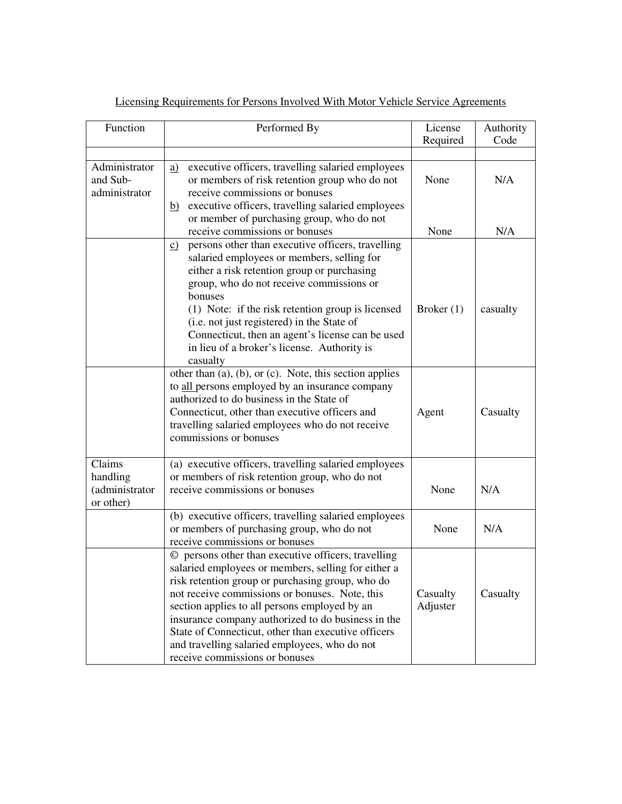| Function                                          | Performed By                                                                                                                                                                                                                                                                                                                                                                                                                                                      | License              | Authority |
|---------------------------------------------------|-------------------------------------------------------------------------------------------------------------------------------------------------------------------------------------------------------------------------------------------------------------------------------------------------------------------------------------------------------------------------------------------------------------------------------------------------------------------|----------------------|-----------|
|                                                   |                                                                                                                                                                                                                                                                                                                                                                                                                                                                   | Required             | Code      |
|                                                   |                                                                                                                                                                                                                                                                                                                                                                                                                                                                   |                      |           |
| Administrator<br>and Sub-<br>administrator        | executive officers, travelling salaried employees<br><u>a)</u><br>or members of risk retention group who do not<br>receive commissions or bonuses<br>b) executive officers, travelling salaried employees                                                                                                                                                                                                                                                         | None                 | N/A       |
|                                                   | or member of purchasing group, who do not<br>receive commissions or bonuses                                                                                                                                                                                                                                                                                                                                                                                       | None                 | N/A       |
|                                                   | persons other than executive officers, travelling<br>$\underline{c}$<br>salaried employees or members, selling for<br>either a risk retention group or purchasing<br>group, who do not receive commissions or<br>bonuses<br>(1) Note: if the risk retention group is licensed<br>(i.e. not just registered) in the State of<br>Connecticut, then an agent's license can be used<br>in lieu of a broker's license. Authority is<br>casualty                        | Broker $(1)$         | casualty  |
|                                                   | other than $(a)$ , $(b)$ , or $(c)$ . Note, this section applies<br>to all persons employed by an insurance company<br>authorized to do business in the State of<br>Connecticut, other than executive officers and<br>travelling salaried employees who do not receive<br>commissions or bonuses                                                                                                                                                                  | Agent                | Casualty  |
| Claims<br>handling<br>(administrator<br>or other) | (a) executive officers, travelling salaried employees<br>or members of risk retention group, who do not<br>receive commissions or bonuses                                                                                                                                                                                                                                                                                                                         | None                 | N/A       |
|                                                   | (b) executive officers, travelling salaried employees<br>or members of purchasing group, who do not<br>receive commissions or bonuses                                                                                                                                                                                                                                                                                                                             | None                 | N/A       |
|                                                   | © persons other than executive officers, travelling<br>salaried employees or members, selling for either a<br>risk retention group or purchasing group, who do<br>not receive commissions or bonuses. Note, this<br>section applies to all persons employed by an<br>insurance company authorized to do business in the<br>State of Connecticut, other than executive officers<br>and travelling salaried employees, who do not<br>receive commissions or bonuses | Casualty<br>Adjuster | Casualty  |

| Licensing Requirements for Persons Involved With Motor Vehicle Service Agreements |
|-----------------------------------------------------------------------------------|
|-----------------------------------------------------------------------------------|